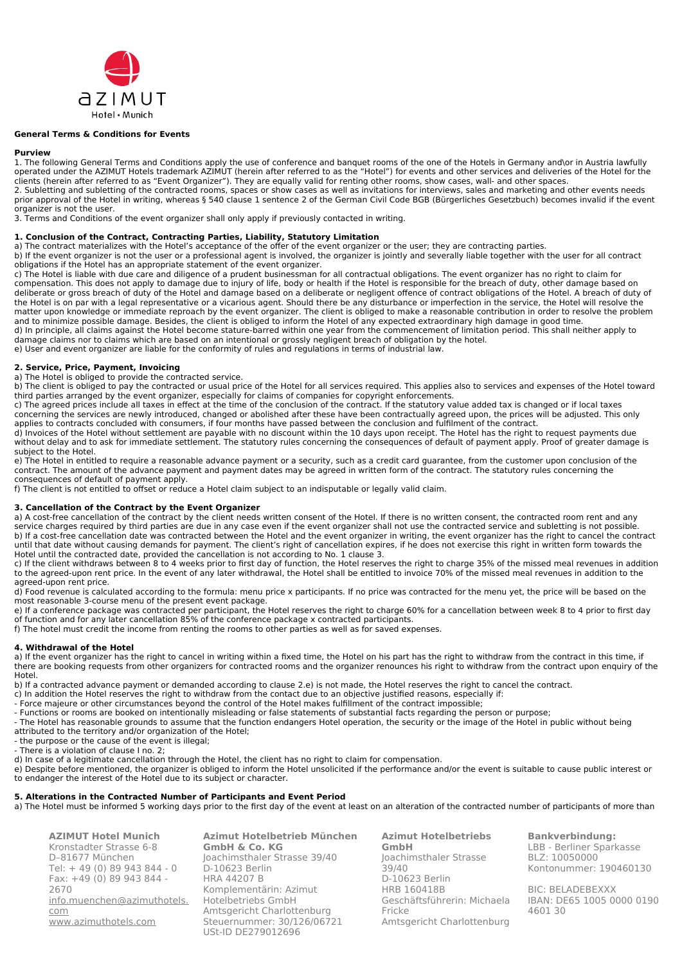

#### **General Terms & Conditions for Events**

#### **Purview**

1. The following General Terms and Conditions apply the use of conference and banquet rooms of the one of the Hotels in Germany and\or in Austria lawfully operated under the AZIMUT Hotels trademark AZIMUT (herein after referred to as the "Hotel") for events and other services and deliveries of the Hotel for the clients (herein after referred to as "Event Organizer"). They are equally valid for renting other rooms, show cases, wall- and other spaces. 2. Subletting and subletting of the contracted rooms, spaces or show cases as well as invitations for interviews, sales and marketing and other events needs prior approval of the Hotel in writing, whereas § 540 clause 1 sentence 2 of the German Civil Code BGB (Bürgerliches Gesetzbuch) becomes invalid if the event organizer is not the user.

3. Terms and Conditions of the event organizer shall only apply if previously contacted in writing.

#### **1. Conclusion of the Contract, Contracting Parties, Liability, Statutory Limitation**

a) The contract materializes with the Hotel's acceptance of the offer of the event organizer or the user; they are contracting parties.

b) If the event organizer is not the user or a professional agent is involved, the organizer is jointly and severally liable together with the user for all contract obligations if the Hotel has an appropriate statement of the event organizer.

c) The Hotel is liable with due care and diligence of a prudent businessman for all contractual obligations. The event organizer has no right to claim for compensation. This does not apply to damage due to injury of life, body or health if the Hotel is responsible for the breach of duty, other damage based on deliberate or gross breach of duty of the Hotel and damage based on a deliberate or negligent offence of contract obligations of the Hotel. A breach of duty of the Hotel is on par with a legal representative or a vicarious agent. Should there be any disturbance or imperfection in the service, the Hotel will resolve the matter upon knowledge or immediate reproach by the event organizer. The client is obliged to make a reasonable contribution in order to resolve the problem and to minimize possible damage. Besides, the client is obliged to inform the Hotel of any expected extraordinary high damage in good time. d) In principle, all claims against the Hotel become stature-barred within one year from the commencement of limitation period. This shall neither apply to damage claims nor to claims which are based on an intentional or grossly negligent breach of obligation by the hotel.

e) User and event organizer are liable for the conformity of rules and regulations in terms of industrial law.

## **2. Service, Price, Payment, Invoicing**

a) The Hotel is obliged to provide the contracted service.

b) The client is obliged to pay the contracted or usual price of the Hotel for all services required. This applies also to services and expenses of the Hotel toward third parties arranged by the event organizer, especially for claims of companies for copyright enforcements.

c) The agreed prices include all taxes in effect at the time of the conclusion of the contract. If the statutory value added tax is changed or if local taxes concerning the services are newly introduced, changed or abolished after these have been contractually agreed upon, the prices will be adjusted. This only applies to contracts concluded with consumers, if four months have passed between the conclusion and fulfilment of the contract.

d) Invoices of the Hotel without settlement are payable with no discount within the 10 days upon receipt. The Hotel has the right to request payments due without delay and to ask for immediate settlement. The statutory rules concerning the consequences of default of payment apply. Proof of greater damage is subject to the Hotel.

e) The Hotel in entitled to require a reasonable advance payment or a security, such as a credit card guarantee, from the customer upon conclusion of the contract. The amount of the advance payment and payment dates may be agreed in written form of the contract. The statutory rules concerning the consequences of default of payment apply.

f) The client is not entitled to offset or reduce a Hotel claim subject to an indisputable or legally valid claim.

#### **3. Cancellation of the Contract by the Event Organizer**

a) A cost-free cancellation of the contract by the client needs written consent of the Hotel. If there is no written consent, the contracted room rent and any service charges required by third parties are due in any case even if the event organizer shall not use the contracted service and subletting is not possible. b) If a cost-free cancellation date was contracted between the Hotel and the event organizer in writing, the event organizer has the right to cancel the contract until that date without causing demands for payment. The client's right of cancellation expires, if he does not exercise this right in written form towards the Hotel until the contracted date, provided the cancellation is not according to No. 1 clause 3.

c) If the client withdraws between 8 to 4 weeks prior to first day of function, the Hotel reserves the right to charge 35% of the missed meal revenues in addition to the agreed-upon rent price. In the event of any later withdrawal, the Hotel shall be entitled to invoice 70% of the missed meal revenues in addition to the agreed-upon rent price.

d) Food revenue is calculated according to the formula: menu price x participants. If no price was contracted for the menu yet, the price will be based on the most reasonable 3-course menu of the present event package.

e) If a conference package was contracted per participant, the Hotel reserves the right to charge 60% for a cancellation between week 8 to 4 prior to first day of function and for any later cancellation 85% of the conference package x contracted participants.

f) The hotel must credit the income from renting the rooms to other parties as well as for saved expenses.

#### **4. Withdrawal of the Hotel**

a) If the event organizer has the right to cancel in writing within a fixed time, the Hotel on his part has the right to withdraw from the contract in this time, if there are booking requests from other organizers for contracted rooms and the organizer renounces his right to withdraw from the contract upon enquiry of the Hotel.

b) If a contracted advance payment or demanded according to clause 2.e) is not made, the Hotel reserves the right to cancel the contract.

- c) In addition the Hotel reserves the right to withdraw from the contact due to an objective justified reasons, especially if:
- Force majeure or other circumstances beyond the control of the Hotel makes fulfillment of the contract impossible;
- Functions or rooms are booked on intentionally misleading or false statements of substantial facts regarding the person or purpose;

- The Hotel has reasonable grounds to assume that the function endangers Hotel operation, the security or the image of the Hotel in public without being attributed to the territory and/or organization of the Hotel;

- the purpose or the cause of the event is illegal;

- There is a violation of clause  $\ln 2$ ;

d) In case of a legitimate cancellation through the Hotel, the client has no right to claim for compensation.

e) Despite before mentioned, the organizer is obliged to inform the Hotel unsolicited if the performance and/or the event is suitable to cause public interest or to endanger the interest of the Hotel due to its subject or character.

# **5. Alterations in the Contracted Number of Participants and Event Period**

a) The Hotel must be informed 5 working days prior to the first day of the event at least on an alteration of the contracted number of participants of more than

**AZIMUT Hotel Munich**  Kronstadter Strasse 6-8 D–81677 München Tel: + 49 (0) 89 943 844 - 0 Fax: +49 (0) 89 943 844 - 2670 [info.muenchen@azimuthotels.](mailto:info.muenchen@azimuthotels.com) [com](mailto:info.muenchen@azimuthotels.com) [www.azimuthotels.com](http://www.azimuthotels.com/)

**Azimut Hotelbetrieb München GmbH & Co. KG** Joachimsthaler Strasse 39/40 D-10623 Berlin HRA 44207 B Komplementärin: Azimut Hotelbetriebs GmbH Amtsgericht Charlottenburg Steuernummer: 30/126/06721 USt-ID DE279012696

**Azimut Hotelbetriebs GmbH** Joachimsthaler Strasse 39/40 D-10623 Berlin HRB 160418B Geschäftsführerin: Michaela Fricke Amtsgericht Charlottenburg

**Bankverbindung:** LBB - Berliner Sparkasse BLZ: 10050000 Kontonummer: 190460130

BIC: BELADEBEXXX IBAN: DE65 1005 0000 0190 4601 30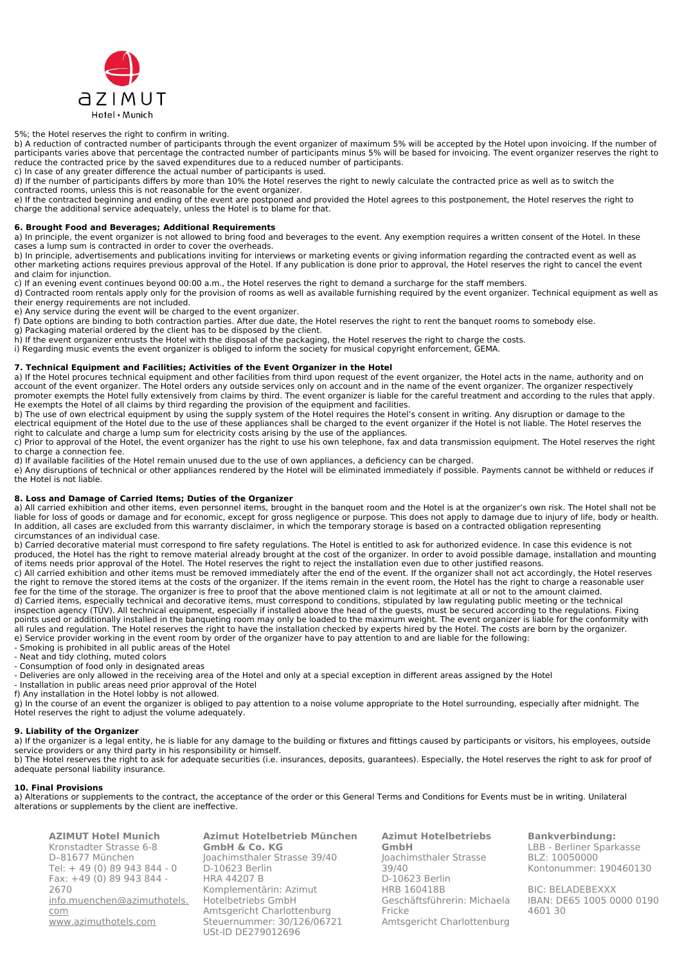

5%; the Hotel reserves the right to confirm in writing.

b) A reduction of contracted number of participants through the event organizer of maximum 5% will be accepted by the Hotel upon invoicing. If the number of participants varies above that percentage the contracted number of participants minus 5% will be based for invoicing. The event organizer reserves the right to reduce the contracted price by the saved expenditures due to a reduced number of participants.

c) In case of any greater difference the actual number of participants is used. d) If the number of participants differs by more than 10% the Hotel reserves the right to newly calculate the contracted price as well as to switch the contracted rooms, unless this is not reasonable for the event organizer.

e) If the contracted beginning and ending of the event are postponed and provided the Hotel agrees to this postponement, the Hotel reserves the right to charge the additional service adequately, unless the Hotel is to blame for that.

## **6. Brought Food and Beverages; Additional Requirements**

a) In principle, the event organizer is not allowed to bring food and beverages to the event. Any exemption requires a written consent of the Hotel. In these cases a lump sum is contracted in order to cover the overheads.

b) In principle, advertisements and publications inviting for interviews or marketing events or giving information regarding the contracted event as well as other marketing actions requires previous approval of the Hotel. If any publication is done prior to approval, the Hotel reserves the right to cancel the event and claim for injunction.

c) If an evening event continues beyond 00:00 a.m., the Hotel reserves the right to demand a surcharge for the staff members.

d) Contracted room rentals apply only for the provision of rooms as well as available furnishing required by the event organizer. Technical equipment as well as their energy requirements are not included.

e) Any service during the event will be charged to the event organizer.

f) Date options are binding to both contraction parties. After due date, the Hotel reserves the right to rent the banquet rooms to somebody else.

g) Packaging material ordered by the client has to be disposed by the client.

h) If the event organizer entrusts the Hotel with the disposal of the packaging, the Hotel reserves the right to charge the costs.

i) Regarding music events the event organizer is obliged to inform the society for musical copyright enforcement, GEMA.

## **7. Technical Equipment and Facilities; Activities of the Event Organizer in the Hotel**

a) If the Hotel procures technical equipment and other facilities from third upon request of the event organizer, the Hotel acts in the name, authority and on account of the event organizer. The Hotel orders any outside services only on account and in the name of the event organizer. The organizer respectively promoter exempts the Hotel fully extensively from claims by third. The event organizer is liable for the careful treatment and according to the rules that apply. He exempts the Hotel of all claims by third regarding the provision of the equipment and facilities.

b) The use of own electrical equipment by using the supply system of the Hotel requires the Hotel's consent in writing. Any disruption or damage to the electrical equipment of the Hotel due to the use of these appliances shall be charged to the event organizer if the Hotel is not liable. The Hotel reserves the right to calculate and charge a lump sum for electricity costs arising by the use of the appliances.

c) Prior to approval of the Hotel, the event organizer has the right to use his own telephone, fax and data transmission equipment. The Hotel reserves the right to charge a connection fee.

d) If available facilities of the Hotel remain unused due to the use of own appliances, a deficiency can be charged.

e) Any disruptions of technical or other appliances rendered by the Hotel will be eliminated immediately if possible. Payments cannot be withheld or reduces if the Hotel is not liable.

#### **8. Loss and Damage of Carried Items; Duties of the Organizer**

a) All carried exhibition and other items, even personnel items, brought in the banquet room and the Hotel is at the organizer's own risk. The Hotel shall not be liable for loss of goods or damage and for economic, except for gross negligence or purpose. This does not apply to damage due to injury of life, body or health. In addition, all cases are excluded from this warranty disclaimer, in which the temporary storage is based on a contracted obligation representing circumstances of an individual case.

b) Carried decorative material must correspond to fire safety regulations. The Hotel is entitled to ask for authorized evidence. In case this evidence is not produced, the Hotel has the right to remove material already brought at the cost of the organizer. In order to avoid possible damage, installation and mounting of items needs prior approval of the Hotel. The Hotel reserves the right to reject the installation even due to other justified reasons.

c) All carried exhibition and other items must be removed immediately after the end of the event. If the organizer shall not act accordingly, the Hotel reserves the right to remove the stored items at the costs of the organizer. If the items remain in the event room, the Hotel has the right to charge a reasonable user fee for the time of the storage. The organizer is free to proof that the above mentioned claim is not legitimate at all or not to the amount claimed. d) Carried items, especially technical and decorative items, must correspond to conditions, stipulated by law regulating public meeting or the technical

inspection agency (TÜV). All technical equipment, especially if installed above the head of the guests, must be secured according to the regulations. Fixing points used or additionally installed in the banqueting room may only be loaded to the maximum weight. The event organizer is liable for the conformity with all rules and regulation. The Hotel reserves the right to have the installation checked by experts hired by the Hotel. The costs are born by the organizer. e) Service provider working in the event room by order of the organizer have to pay attention to and are liable for the following:

- Smoking is prohibited in all public areas of the Hotel
- Neat and tidy clothing, muted colors - Consumption of food only in designated areas

- Deliveries are only allowed in the receiving area of the Hotel and only at a special exception in different areas assigned by the Hotel

- Installation in public areas need prior approval of the Hotel

f) Any installation in the Hotel lobby is not allowed.

g) In the course of an event the organizer is obliged to pay attention to a noise volume appropriate to the Hotel surrounding, especially after midnight. The Hotel reserves the right to adjust the volume adequately.

# **9. Liability of the Organizer**

a) If the organizer is a legal entity, he is liable for any damage to the building or fixtures and fittings caused by participants or visitors, his employees, outside service providers or any third party in his responsibility or himself.

b) The Hotel reserves the right to ask for adequate securities (i.e. insurances, deposits, guarantees). Especially, the Hotel reserves the right to ask for proof of adequate personal liability insurance.

## **10. Final Provisions**

a) Alterations or supplements to the contract, the acceptance of the order or this General Terms and Conditions for Events must be in writing. Unilateral alterations or supplements by the client are ineffective.

**AZIMUT Hotel Munich**  Kronstadter Strasse 6-8 D–81677 München Tel: + 49 (0) 89 943 844 - 0 Fax: +49 (0) 89 943 844 - 2670 [info.muenchen@azimuthotels.](mailto:info.muenchen@azimuthotels.com) [com](mailto:info.muenchen@azimuthotels.com) [www.azimuthotels.com](http://www.azimuthotels.com/)

**Azimut Hotelbetrieb München GmbH & Co. KG** Joachimsthaler Strasse 39/40 D-10623 Berlin HRA 44207 B Komplementärin: Azimut Hotelbetriebs GmbH Amtsgericht Charlottenburg Steuernummer: 30/126/06721 USt-ID DE279012696

**Azimut Hotelbetriebs GmbH** Joachimsthaler Strasse 39/40 D-10623 Berlin HRB 160418B Geschäftsführerin: Michaela Fricke Amtsgericht Charlottenburg

**Bankverbindung:** LBB - Berliner Sparkasse BLZ: 10050000 Kontonummer: 190460130

BIC: BELADEBEXXX IBAN: DE65 1005 0000 0190 4601 30